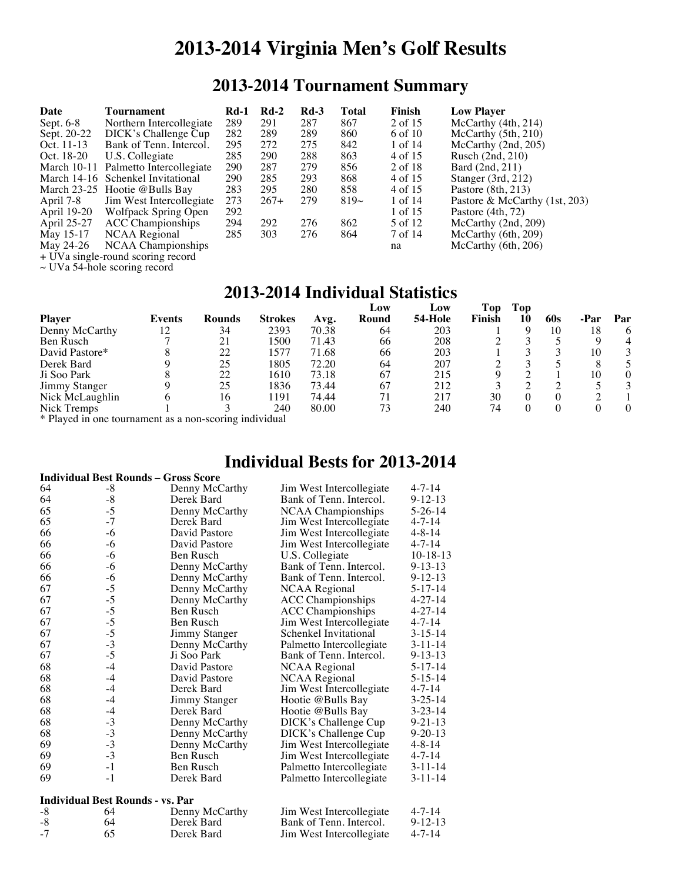# **2013-2014 Virginia Men's Golf Results**

## **2013-2014 Tournament Summary**

| Date        | Tournament                                  | $Rd-1$ | $Rd-2$ | $Rd-3$ | Total     | Finish  | <b>Low Player</b>               |
|-------------|---------------------------------------------|--------|--------|--------|-----------|---------|---------------------------------|
| Sept. $6-8$ | Northern Intercollegiate                    | 289    | 291    | 287    | 867       | 2 of 15 | McCarthy $(4th, 214)$           |
| Sept. 20-22 | DICK's Challenge Cup                        | 282    | 289    | 289    | 860       | 6 of 10 | McCarthy $(5th, 210)$           |
| Oct. 11-13  | Bank of Tenn. Intercol.                     | 295    | 272    | 275    | 842       | 1 of 14 | McCarthy (2nd, 205)             |
| Oct. 18-20  | U.S. Collegiate                             | 285    | 290    | 288    | 863       | 4 of 15 | Rusch $(2nd, 210)$              |
|             | March 10-11 Palmetto Intercollegiate        | 290    | 287    | 279    | 856       | 2 of 18 | Bard (2nd, 211)                 |
|             | March 14-16 Schenkel Invitational           | 290    | 285    | 293    | 868       | 4 of 15 | Stanger $(3rd, 212)$            |
|             | March $23-25$ Hootie @ Bulls Bay            | 283    | 295    | 280    | 858       | 4 of 15 | Pastore $(8th, 213)$            |
| April 7-8   | Jim West Intercollegiate                    | 273    | $267+$ | 279    | $819\sim$ | 1 of 14 | Pastore & McCarthy $(1st, 203)$ |
| April 19-20 | Wolfpack Spring Open                        | 292    |        |        |           | 1 of 15 | Pastore (4th, 72)               |
| April 25-27 | <b>ACC Championships</b>                    | 294    | 292    | 276    | 862       | 5 of 12 | McCarthy (2nd, 209)             |
| May 15-17   | NCAA Regional                               | 285    | 303    | 276    | 864       | 7 of 14 | McCarthy (6th, 209)             |
| May 24-26   | NCAA Championships                          |        |        |        |           | na      | McCarthy (6th, 206)             |
|             | . IIV alust also assessed as substances and |        |        |        |           |         |                                 |

+ UVa single-round scoring record  $\sim$  UVa 54-hole scoring record

### **2013-2014 Individual Statistics**

|                      |        |        |                |       | Low   | Low     | Top    | Top |     |    |     |
|----------------------|--------|--------|----------------|-------|-------|---------|--------|-----|-----|----|-----|
| <b>Player</b>        | Events | Rounds | <b>Strokes</b> | Avg.  | Round | 54-Hole | Finish | 10  | 60s |    | Par |
| Denny McCarthy       | 12     | 34     | 2393           | 70.38 | 64    | 203     |        |     | 10  | 18 | 6   |
| Ben Rusch            |        | 21     | 1500           | 71.43 | 66    | 208     |        |     |     |    | 4   |
| David Pastore*       |        | 22     | 1577           | 71.68 | 66    | 203     |        |     |     | 10 |     |
| Derek Bard           |        | 25     | 1805           | 72.20 | 64    | 207     |        |     |     |    |     |
| Ji Soo Park          |        | 22     | 1610           | 73.18 | 67    | 215     |        |     |     | 10 |     |
| <b>Jimmy Stanger</b> |        | 25     | 1836           | 73.44 | 67    | 212     |        |     |     |    |     |
| Nick McLaughlin      |        | 16     | 191            | 74.44 | 71    | 217     | 30     |     |     |    |     |
| Nick Tremps          |        |        | 240            | 80.00 | 73    | 240     | 74     |     |     |    |     |
|                      |        |        |                |       |       |         |        |     |     |    |     |

\* Played in one tournament as a non-scoring individual

### **Individual Bests for 2013-2014**

| <b>Individual Best Rounds - Gross Score</b> |             |                      |                           |               |  |  |  |  |
|---------------------------------------------|-------------|----------------------|---------------------------|---------------|--|--|--|--|
| 64                                          | $-8$        | Denny McCarthy       | Jim West Intercollegiate  | $4 - 7 - 14$  |  |  |  |  |
| 64                                          | $\text{-}8$ | Derek Bard           | Bank of Tenn, Intercol.   | $9 - 12 - 13$ |  |  |  |  |
| 65                                          | $-5$        | Denny McCarthy       | <b>NCAA Championships</b> | 5-26-14       |  |  |  |  |
| 65                                          | $-7$        | Derek Bard           | Jim West Intercollegiate  | 4-7-14        |  |  |  |  |
| 66                                          | $-6$        | David Pastore        | Jim West Intercollegiate  | $4 - 8 - 14$  |  |  |  |  |
| 66                                          | $-6$        | David Pastore        | Jim West Intercollegiate  | $4 - 7 - 14$  |  |  |  |  |
| 66                                          | $-6$        | <b>Ben Rusch</b>     | U.S. Collegiate           | $10-18-13$    |  |  |  |  |
| 66                                          | $-6$        | Denny McCarthy       | Bank of Tenn. Intercol.   | $9 - 13 - 13$ |  |  |  |  |
| 66                                          | $-6$        | Denny McCarthy       | Bank of Tenn. Intercol.   | $9 - 12 - 13$ |  |  |  |  |
| 67                                          | $-5$        | Denny McCarthy       | <b>NCAA Regional</b>      | $5 - 17 - 14$ |  |  |  |  |
| 67                                          | $-5$        | Denny McCarthy       | <b>ACC</b> Championships  | $4 - 27 - 14$ |  |  |  |  |
| 67                                          | $-5$        | <b>Ben Rusch</b>     | <b>ACC Championships</b>  | $4 - 27 - 14$ |  |  |  |  |
| 67                                          | $-5$        | Ben Rusch            | Jim West Intercollegiate  | $4 - 7 - 14$  |  |  |  |  |
| 67                                          | $-5$        | <b>Jimmy Stanger</b> | Schenkel Invitational     | $3 - 15 - 14$ |  |  |  |  |
| 67                                          | $-3$        | Denny McCarthy       | Palmetto Intercollegiate  | $3 - 11 - 14$ |  |  |  |  |
| 67                                          | $-5$        | Ji Soo Park          | Bank of Tenn. Intercol.   | $9 - 13 - 13$ |  |  |  |  |
| 68                                          | $-4$        | David Pastore        | <b>NCAA Regional</b>      | 5-17-14       |  |  |  |  |
| 68                                          | $-4$        | David Pastore        | <b>NCAA Regional</b>      | $5 - 15 - 14$ |  |  |  |  |
| 68                                          | $-4$        | Derek Bard           | Jim West Intercollegiate  | $4 - 7 - 14$  |  |  |  |  |
| 68                                          | $-4$        | Jimmy Stanger        | Hootie @Bulls Bay         | $3 - 25 - 14$ |  |  |  |  |
| 68                                          | $-4$        | Derek Bard           | Hootie @Bulls Bay         | $3 - 23 - 14$ |  |  |  |  |
| 68                                          | $-3$        | Denny McCarthy       | DICK's Challenge Cup      | $9 - 21 - 13$ |  |  |  |  |
| 68                                          | $-3$        | Denny McCarthy       | DICK's Challenge Cup      | $9 - 20 - 13$ |  |  |  |  |
| 69                                          | $-3$        | Denny McCarthy       | Jim West Intercollegiate  | $4 - 8 - 14$  |  |  |  |  |
| 69                                          | $-3$        | Ben Rusch            | Jim West Intercollegiate  | 4-7-14        |  |  |  |  |
| 69                                          | $-1$        | Ben Rusch            | Palmetto Intercollegiate  | $3 - 11 - 14$ |  |  |  |  |
| 69                                          | $-1$        | Derek Bard           | Palmetto Intercollegiate  | $3 - 11 - 14$ |  |  |  |  |
|                                             |             |                      |                           |               |  |  |  |  |
| <b>Individual Best Rounds - vs. Par</b>     |             |                      |                           |               |  |  |  |  |
| $-8$                                        | 64          | Denny McCarthy       | Jim West Intercollegiate  | $4 - 7 - 14$  |  |  |  |  |
| $-8$                                        | 64          | Derek Bard           | Bank of Tenn, Intercol.   | $9 - 12 - 13$ |  |  |  |  |
| $-7$                                        | 65          | Derek Bard           | Jim West Intercollegiate  | $4 - 7 - 14$  |  |  |  |  |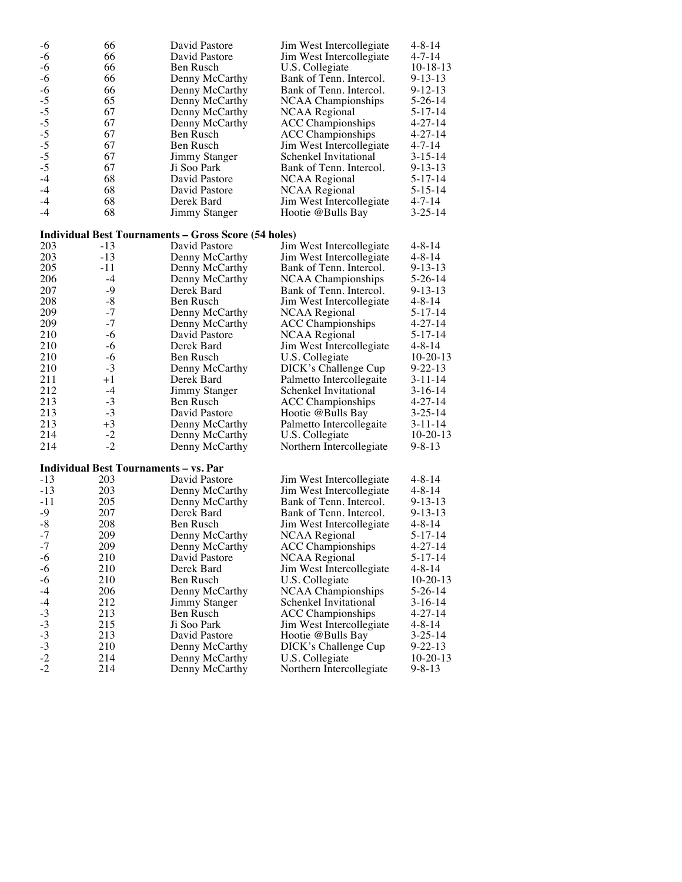| $-6$                                 | 66    | David Pastore                                               | Jim West Intercollegiate  | 4-8-14        |
|--------------------------------------|-------|-------------------------------------------------------------|---------------------------|---------------|
| $-6$                                 | 66    | David Pastore                                               | Jim West Intercollegiate  | 4-7-14        |
| $-6$                                 | 66    | Ben Rusch                                                   | U.S. Collegiate           | $10-18-13$    |
| $-6$                                 | 66    | Denny McCarthy                                              | Bank of Tenn. Intercol.   | 9-13-13       |
| $-6$                                 | 66    | Denny McCarthy                                              | Bank of Tenn. Intercol.   | $9 - 12 - 13$ |
| $-5$                                 | 65    | Denny McCarthy                                              | <b>NCAA Championships</b> | $5 - 26 - 14$ |
|                                      | 67    | Denny McCarthy                                              | <b>NCAA Regional</b>      | $5 - 17 - 14$ |
|                                      | 67    | Denny McCarthy                                              | <b>ACC</b> Championships  | 4-27-14       |
|                                      | 67    | Ben Rusch                                                   | <b>ACC</b> Championships  | $4 - 27 - 14$ |
|                                      | 67    | Ben Rusch                                                   | Jim West Intercollegiate  | 4-7-14        |
|                                      | 67    | Jimmy Stanger                                               | Schenkel Invitational     | $3 - 15 - 14$ |
| $-5$<br>$-5$<br>$-5$<br>$-5$<br>$-5$ | 67    | Ji Soo Park                                                 | Bank of Tenn. Intercol.   | $9 - 13 - 13$ |
| $-4$                                 | 68    | David Pastore                                               | <b>NCAA Regional</b>      | $5 - 17 - 14$ |
| $-4$                                 | 68    | David Pastore                                               | NCAA Regional             | $5 - 15 - 14$ |
| $-4$                                 | 68    | Derek Bard                                                  | Jim West Intercollegiate  | 4-7-14        |
| $-4$                                 | 68    | Jimmy Stanger                                               | Hootie @Bulls Bay         | $3 - 25 - 14$ |
|                                      |       |                                                             |                           |               |
|                                      |       | <b>Individual Best Tournaments - Gross Score (54 holes)</b> |                           |               |
| 203                                  | $-13$ | David Pastore                                               | Jim West Intercollegiate  | 4-8-14        |
| 203                                  | -13   | Denny McCarthy                                              | Jim West Intercollegiate  | 4-8-14        |
| 205                                  | $-11$ | Denny McCarthy                                              | Bank of Tenn. Intercol.   | 9-13-13       |
| 206                                  | $-4$  | Denny McCarthy                                              | NCAA Championships        | $5-26-14$     |
| 207                                  | -9    | Derek Bard                                                  | Bank of Tenn. Intercol.   | $9 - 13 - 13$ |
| 208                                  | $-8$  | Ben Rusch                                                   | Jim West Intercollegiate  | 4-8-14        |
| 209                                  | $-7$  | Denny McCarthy                                              | <b>NCAA Regional</b>      | $5 - 17 - 14$ |
| 209                                  | $-7$  | Denny McCarthy                                              | <b>ACC Championships</b>  | $4 - 27 - 14$ |
| 210                                  | $-6$  | David Pastore                                               | <b>NCAA Regional</b>      | 5-17-14       |
| 210                                  | -6    | Derek Bard                                                  | Jim West Intercollegiate  | 4-8-14        |
| 210                                  | -6    | Ben Rusch                                                   | U.S. Collegiate           | $10-20-13$    |
| 210                                  | $-3$  | Denny McCarthy                                              | DICK's Challenge Cup      | $9 - 22 - 13$ |
| 211                                  | $+1$  | Derek Bard                                                  | Palmetto Intercollegaite  | $3 - 11 - 14$ |
| 212                                  | $-4$  | Jimmy Stanger                                               | Schenkel Invitational     | $3-16-14$     |
| 213                                  | $-3$  | Ben Rusch                                                   | <b>ACC</b> Championships  | $4 - 27 - 14$ |
| 213                                  | $-3$  | David Pastore                                               | Hootie @Bulls Bay         | $3 - 25 - 14$ |
| 213                                  | $+3$  | Denny McCarthy                                              | Palmetto Intercollegaite  | 3-11-14       |
| 214                                  | $-2$  | Denny McCarthy                                              | U.S. Collegiate           | $10-20-13$    |
| 214                                  | $-2$  | Denny McCarthy                                              | Northern Intercollegiate  | $9 - 8 - 13$  |
|                                      |       | <b>Individual Best Tournaments - vs. Par</b>                |                           |               |
| $-13$                                | 203   | David Pastore                                               | Jim West Intercollegiate  | 4-8-14        |
| $-13$                                | 203   | Denny McCarthy                                              | Jim West Intercollegiate  | 4-8-14        |
| $-11$                                | 205   | Denny McCarthy                                              | Bank of Tenn. Intercol.   | $9 - 13 - 13$ |
| $-9$                                 | 207   | Derek Bard                                                  | Bank of Tenn. Intercol.   | $9 - 13 - 13$ |
| $-8$                                 | 208   | Ben Rusch                                                   | Jim West Intercollegiate  | 4-8-14        |
| $-7$                                 | 209   | Denny McCarthy                                              | <b>NCAA Regional</b>      | $5 - 17 - 14$ |
| $-7$                                 | 209   | Denny McCarthy                                              | <b>ACC</b> Championships  | $4 - 27 - 14$ |
| $-6$                                 | 210   | David Pastore                                               | NCAA Regional             | $5 - 17 - 14$ |
| $-6$                                 | 210   | Derek Bard                                                  | Jim West Intercollegiate  | 4-8-14        |
| $-6$                                 | 210   | Ben Rusch                                                   | U.S. Collegiate           | $10-20-13$    |
| $-4$                                 | 206   | Denny McCarthy                                              | <b>NCAA</b> Championships | 5-26-14       |
| $-4$                                 | 212   | Jimmy Stanger                                               | Schenkel Invitational     | $3-16-14$     |
|                                      | 213   | Ben Rusch                                                   | <b>ACC</b> Championships  | $4 - 27 - 14$ |
|                                      | 215   | Ji Soo Park                                                 | Jim West Intercollegiate  | 4-8-14        |
|                                      | 213   | David Pastore                                               | Hootie @Bulls Bay         | $3 - 25 - 14$ |
|                                      | 210   | Denny McCarthy                                              | DICK's Challenge Cup      | $9 - 22 - 13$ |
| $-3$<br>$-3$<br>$-3$<br>$-2$<br>$-2$ | 214   | Denny McCarthy                                              | U.S. Collegiate           | $10-20-13$    |
|                                      | 214   | Denny McCarthy                                              | Northern Intercollegiate  | $9 - 8 - 13$  |
|                                      |       |                                                             |                           |               |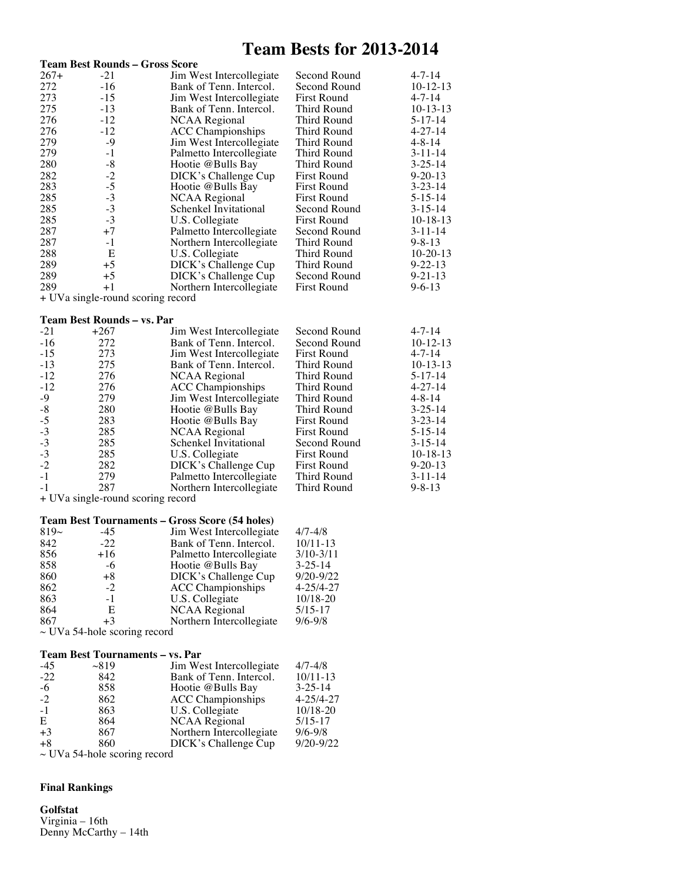## **Team Bests for 2013-2014**

|           |                                   | <b>Team Best Rounds - Gross Score</b>                         |                    |               |
|-----------|-----------------------------------|---------------------------------------------------------------|--------------------|---------------|
| 267+      | $-21$                             | Jim West Intercollegiate                                      | Second Round       | $4 - 7 - 14$  |
| 272       | $-16$                             | Bank of Tenn. Intercol.                                       | Second Round       | $10-12-13$    |
| 273       | $-15$                             | Jim West Intercollegiate                                      | <b>First Round</b> | $4 - 7 - 14$  |
| 275       | $-13$                             | Bank of Tenn. Intercol.                                       | Third Round        | $10-13-13$    |
| 276       | $-12$                             | <b>NCAA Regional</b>                                          | Third Round        | $5 - 17 - 14$ |
| 276       | -12                               | <b>ACC</b> Championships                                      | Third Round        | $4 - 27 - 14$ |
| 279       | -9                                | Jim West Intercollegiate                                      | Third Round        | $4 - 8 - 14$  |
| 279       | $-1$                              | Palmetto Intercollegiate                                      | <b>Third Round</b> | $3 - 11 - 14$ |
| 280       | $-8$                              | Hootie @Bulls Bay                                             | Third Round        | $3 - 25 - 14$ |
| 282       | $-2$                              | DICK's Challenge Cup                                          | <b>First Round</b> | $9 - 20 - 13$ |
| 283       | $-5$                              | Hootie @Bulls Bay                                             | <b>First Round</b> | $3 - 23 - 14$ |
| 285       | $-3$                              | <b>NCAA Regional</b>                                          | <b>First Round</b> | $5 - 15 - 14$ |
| 285       | $-3$                              | Schenkel Invitational                                         | Second Round       | $3 - 15 - 14$ |
| 285       | $-3$                              | U.S. Collegiate                                               | <b>First Round</b> | $10-18-13$    |
| 287       | $+7$                              | Palmetto Intercollegiate                                      | Second Round       | $3 - 11 - 14$ |
| 287       | $-1$                              | Northern Intercollegiate                                      | Third Round        | $9 - 8 - 13$  |
| 288       | Ε                                 | U.S. Collegiate                                               | Third Round        | $10-20-13$    |
| 289       | $+5$                              | DICK's Challenge Cup                                          | Third Round        | $9 - 22 - 13$ |
| 289       | $+5$                              | DICK's Challenge Cup                                          | Second Round       | $9 - 21 - 13$ |
| 289       | $+1$                              |                                                               | <b>First Round</b> | $9 - 6 - 13$  |
|           |                                   | Northern Intercollegiate<br>+ UVa single-round scoring record |                    |               |
|           |                                   |                                                               |                    |               |
|           | <b>Team Best Rounds - vs. Par</b> |                                                               |                    |               |
| $-21$     | $+267$                            | Jim West Intercollegiate                                      | Second Round       | $4 - 7 - 14$  |
| $-16$     | 272                               | Bank of Tenn. Intercol.                                       | Second Round       | $10-12-13$    |
| $-15$     | 273                               | Jim West Intercollegiate                                      | <b>First Round</b> | $4 - 7 - 14$  |
| $-13$     | 275                               | Bank of Tenn. Intercol.                                       | Third Round        | $10-13-13$    |
| $-12$     | 276                               | <b>NCAA Regional</b>                                          | Third Round        | $5 - 17 - 14$ |
| $-12$     | 276                               | <b>ACC Championships</b>                                      | Third Round        | $4 - 27 - 14$ |
| -9        | 279                               | Jim West Intercollegiate                                      | Third Round        | $4 - 8 - 14$  |
| $-8$      | 280                               | Hootie @Bulls Bay                                             | Third Round        | $3 - 25 - 14$ |
| $-5$      | 283                               | Hootie @Bulls Bay                                             | <b>First Round</b> | $3 - 23 - 14$ |
| $-3$      | 285                               | <b>NCAA Regional</b>                                          | <b>First Round</b> | $5 - 15 - 14$ |
| $-3$      | 285                               | Schenkel Invitational                                         | Second Round       | $3 - 15 - 14$ |
| $-3$      | 285                               | U.S. Collegiate                                               | <b>First Round</b> | $10-18-13$    |
| $-2$      | 282                               | DICK's Challenge Cup                                          | <b>First Round</b> | $9 - 20 - 13$ |
| $-1$      | 279                               | Palmetto Intercollegiate                                      | Third Round        | $3 - 11 - 14$ |
| $-1$      | 287                               | Northern Intercollegiate                                      | Third Round        | $9 - 8 - 13$  |
|           |                                   | + UVa single-round scoring record                             |                    |               |
|           |                                   |                                                               |                    |               |
|           |                                   | Team Best Tournaments - Gross Score (54 holes)                |                    |               |
| $819\sim$ | -45                               | Jim West Intercollegiate                                      | 4/7-4/8            |               |
| 842       | $-22$                             | Bank of Tenn. Intercol.                                       | $10/11 - 13$       |               |
| 856       | $+16$                             | Palmetto Intercollegiate                                      | $3/10-3/11$        |               |
| 858       | -6                                | Hootie @Bulls Bay                                             | 3-25-14            |               |
| 860       | $+8$                              | DICK's Challenge Cup                                          | 9/20-9/22          |               |
| 862       | $-2$                              | <b>ACC</b> Championships                                      | 4-25/4-27          |               |
| 863       | $-1$                              | U.S. Collegiate                                               | $10/18 - 20$       |               |
| 864       | Ε                                 | <b>NCAA Regional</b>                                          | 5/15-17            |               |
| 867       | $+3$                              | Northern Intercollegiate                                      | $9/6 - 9/8$        |               |
|           | $\sim$ UVa 54-hole scoring record |                                                               |                    |               |
|           |                                   | <b>Team Best Tournaments - vs. Par</b>                        |                    |               |
| -45       | $\sim$ 819                        | Jim West Intercollegiate                                      | $4/7 - 4/8$        |               |
| $-22$     | 842                               | Bank of Tenn. Intercol.                                       | 10/11-13           |               |
| $-6$      | 858                               | Hootie @Bulls Bay                                             | $3 - 25 - 14$      |               |
| $-2$      | 862                               | <b>ACC</b> Championships                                      | 4-25/4-27          |               |
| $-1$      | 863                               | U.S. Collegiate                                               | 10/18-20           |               |
| Е         | 864                               |                                                               | $5/15 - 17$        |               |
| $+3$      | 867                               | <b>NCAA Regional</b>                                          | $9/6 - 9/8$        |               |
| $+8$      | 860                               | Northern Intercollegiate<br>DICK's Challenge Cup              | 9/20-9/22          |               |
|           | $\sim$ UVa 54-hole scoring record |                                                               |                    |               |
|           |                                   |                                                               |                    |               |

#### **Final Rankings**

**Golfstat**

Virginia – 16th Denny McCarthy – 14th